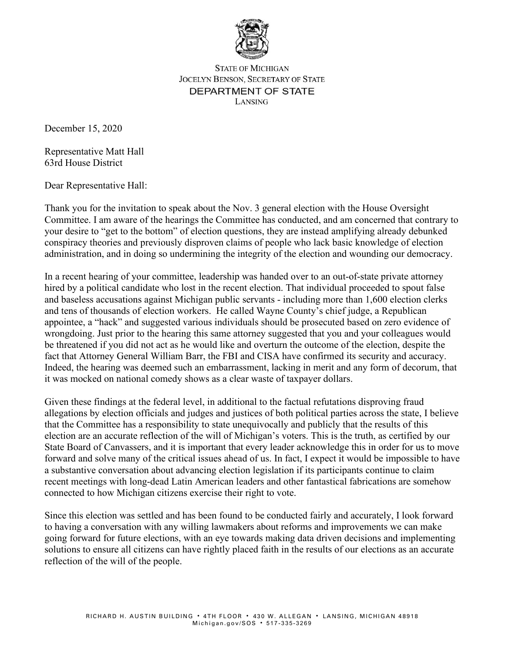

**STATE OF MICHIGAN JOCELYN BENSON, SECRETARY OF STATE** DEPARTMENT OF STATE LANSING

December 15, 2020

Representative Matt Hall 63rd House District

Dear Representative Hall:

Thank you for the invitation to speak about the Nov. 3 general election with the House Oversight Committee. I am aware of the hearings the Committee has conducted, and am concerned that contrary to your desire to "get to the bottom" of election questions, they are instead amplifying already debunked conspiracy theories and previously disproven claims of people who lack basic knowledge of election administration, and in doing so undermining the integrity of the election and wounding our democracy.

In a recent hearing of your committee, leadership was handed over to an out-of-state private attorney hired by a political candidate who lost in the recent election. That individual proceeded to spout false and baseless accusations against Michigan public servants - including more than 1,600 election clerks and tens of thousands of election workers. He called Wayne County's chief judge, a Republican appointee, a "hack" and suggested various individuals should be prosecuted based on zero evidence of wrongdoing. Just prior to the hearing this same attorney suggested that you and your colleagues would be threatened if you did not act as he would like and overturn the outcome of the election, despite the fact that Attorney General William Barr, the FBI and CISA have confirmed its security and accuracy. Indeed, the hearing was deemed such an embarrassment, lacking in merit and any form of decorum, that it was mocked on national comedy shows as a clear waste of taxpayer dollars.

Given these findings at the federal level, in additional to the factual refutations disproving fraud allegations by election officials and judges and justices of both political parties across the state, I believe that the Committee has a responsibility to state unequivocally and publicly that the results of this election are an accurate reflection of the will of Michigan's voters. This is the truth, as certified by our State Board of Canvassers, and it is important that every leader acknowledge this in order for us to move forward and solve many of the critical issues ahead of us. In fact, I expect it would be impossible to have a substantive conversation about advancing election legislation if its participants continue to claim recent meetings with long-dead Latin American leaders and other fantastical fabrications are somehow connected to how Michigan citizens exercise their right to vote.

Since this election was settled and has been found to be conducted fairly and accurately, I look forward to having a conversation with any willing lawmakers about reforms and improvements we can make going forward for future elections, with an eye towards making data driven decisions and implementing solutions to ensure all citizens can have rightly placed faith in the results of our elections as an accurate reflection of the will of the people.